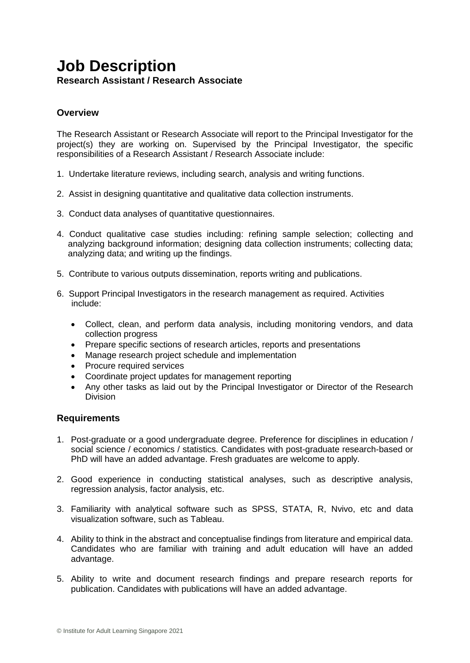## **Job Description Research Assistant / Research Associate**

## **Overview**

The Research Assistant or Research Associate will report to the Principal Investigator for the project(s) they are working on. Supervised by the Principal Investigator, the specific responsibilities of a Research Assistant / Research Associate include:

- 1. Undertake literature reviews, including search, analysis and writing functions.
- 2. Assist in designing quantitative and qualitative data collection instruments.
- 3. Conduct data analyses of quantitative questionnaires.
- 4. Conduct qualitative case studies including: refining sample selection; collecting and analyzing background information; designing data collection instruments; collecting data; analyzing data; and writing up the findings.
- 5. Contribute to various outputs dissemination, reports writing and publications.
- 6. Support Principal Investigators in the research management as required. Activities include:
	- Collect, clean, and perform data analysis, including monitoring vendors, and data collection progress
	- Prepare specific sections of research articles, reports and presentations
	- Manage research project schedule and implementation
	- Procure required services
	- Coordinate project updates for management reporting
	- Any other tasks as laid out by the Principal Investigator or Director of the Research Division

## **Requirements**

- 1. Post-graduate or a good undergraduate degree. Preference for disciplines in education / social science / economics / statistics. Candidates with post-graduate research-based or PhD will have an added advantage. Fresh graduates are welcome to apply.
- 2. Good experience in conducting statistical analyses, such as descriptive analysis, regression analysis, factor analysis, etc.
- 3. Familiarity with analytical software such as SPSS, STATA, R, Nvivo, etc and data visualization software, such as Tableau.
- 4. Ability to think in the abstract and conceptualise findings from literature and empirical data. Candidates who are familiar with training and adult education will have an added advantage.
- 5. Ability to write and document research findings and prepare research reports for publication. Candidates with publications will have an added advantage.